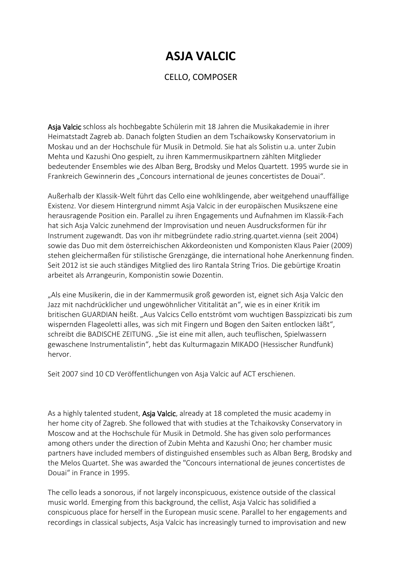## **ASJA VALCIC**

## CELLO, COMPOSER

Asja Valcic schloss als hochbegabte Schülerin mit 18 Jahren die Musikakademie in ihrer Heimatstadt Zagreb ab. Danach folgten Studien an dem Tschaikowsky Konservatorium in Moskau und an der Hochschule für Musik in Detmold. Sie hat als Solistin u.a. unter Zubin Mehta und Kazushi Ono gespielt, zu ihren Kammermusikpartnern zählten Mitglieder bedeutender Ensembles wie des Alban Berg, Brodsky und Melos Quartett. 1995 wurde sie in Frankreich Gewinnerin des "Concours international de jeunes concertistes de Douai".

Außerhalb der Klassik-Welt führt das Cello eine wohlklingende, aber weitgehend unauffällige Existenz. Vor diesem Hintergrund nimmt Asja Valcic in der europäischen Musikszene eine herausragende Position ein. Parallel zu ihren Engagements und Aufnahmen im Klassik-Fach hat sich Asja Valcic zunehmend der Improvisation und neuen Ausdrucksformen für ihr Instrument zugewandt. Das von ihr mitbegründete radio.string.quartet.vienna (seit 2004) sowie das Duo mit dem österreichischen Akkordeonisten und Komponisten Klaus Paier (2009) stehen gleichermaßen für stilistische Grenzgänge, die international hohe Anerkennung finden. Seit 2012 ist sie auch ständiges Mitglied des Iiro Rantala String Trios. Die gebürtige Kroatin arbeitet als Arrangeurin, Komponistin sowie Dozentin.

"Als eine Musikerin, die in der Kammermusik groß geworden ist, eignet sich Asja Valcic den Jazz mit nachdrücklicher und ungewöhnlicher Vititalität an", wie es in einer Kritik im britischen GUARDIAN heißt. "Aus Valcics Cello entströmt vom wuchtigen Basspizzicati bis zum wispernden Flageoletti alles, was sich mit Fingern und Bogen den Saiten entlocken läßt", schreibt die BADISCHE ZEITUNG. "Sie ist eine mit allen, auch teuflischen, Spielwassern gewaschene Instrumentalistin", hebt das Kulturmagazin MIKADO (Hessischer Rundfunk) hervor.

Seit 2007 sind 10 CD Veröffentlichungen von Asja Valcic auf ACT erschienen.

As a highly talented student, Asja Valcic, already at 18 completed the music academy in her home city of Zagreb. She followed that with studies at the Tchaikovsky Conservatory in Moscow and at the Hochschule für Musik in Detmold. She has given solo performances among others under the direction of Zubin Mehta and Kazushi Ono; her chamber music partners have included members of distinguished ensembles such as Alban Berg, Brodsky and the Melos Quartet. She was awarded the "Concours international de jeunes concertistes de Douai" in France in 1995.

The cello leads a sonorous, if not largely inconspicuous, existence outside of the classical music world. Emerging from this background, the cellist, Asja Valcic has solidified a conspicuous place for herself in the European music scene. Parallel to her engagements and recordings in classical subjects, Asja Valcic has increasingly turned to improvisation and new